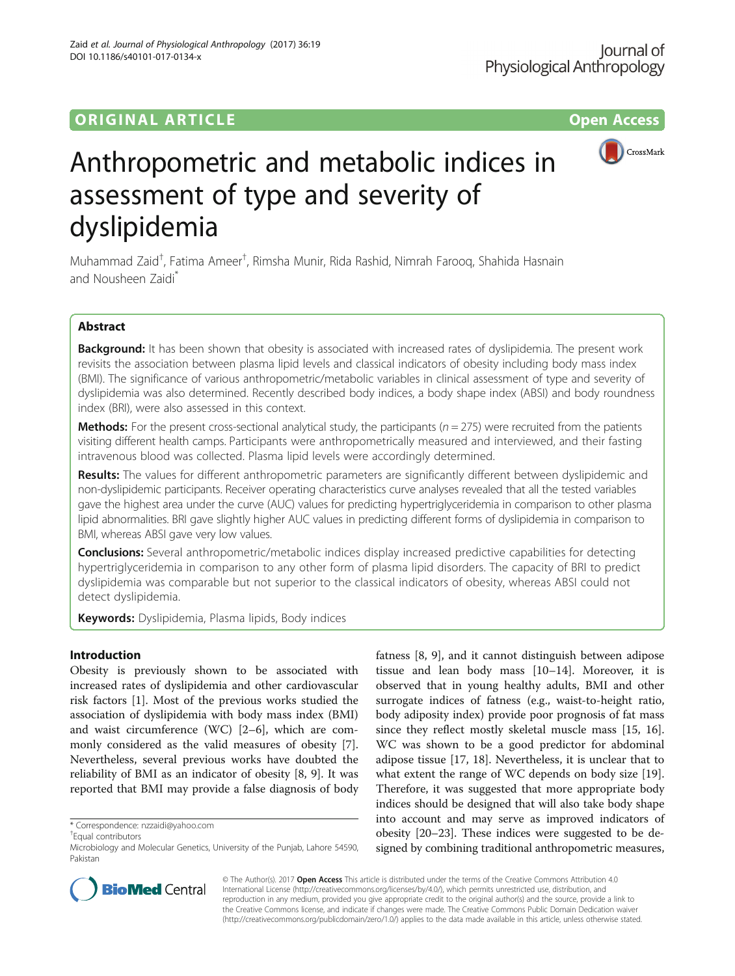# ORIGINAL ARTICLE **CONSERVANCE CONSERVANCE CONSERVANCE CONSERVANCE CONSERVANCE CONSERVANCE CONSERVANCE CONSERVANCE**

DOI 10.1186/s40101-017-0134-x

Zaid et al. Journal of Physiological Anthropology (2017) 36:19



# Anthropometric and metabolic indices in assessment of type and severity of dyslipidemia

Muhammad Zaid<sup>†</sup>, Fatima Ameer<sup>†</sup>, Rimsha Munir, Rida Rashid, Nimrah Farooq, Shahida Hasnain and Nousheen Zaidi\*

# Abstract

Background: It has been shown that obesity is associated with increased rates of dyslipidemia. The present work revisits the association between plasma lipid levels and classical indicators of obesity including body mass index (BMI). The significance of various anthropometric/metabolic variables in clinical assessment of type and severity of dyslipidemia was also determined. Recently described body indices, a body shape index (ABSI) and body roundness index (BRI), were also assessed in this context.

**Methods:** For the present cross-sectional analytical study, the participants ( $n = 275$ ) were recruited from the patients visiting different health camps. Participants were anthropometrically measured and interviewed, and their fasting intravenous blood was collected. Plasma lipid levels were accordingly determined.

Results: The values for different anthropometric parameters are significantly different between dyslipidemic and non-dyslipidemic participants. Receiver operating characteristics curve analyses revealed that all the tested variables gave the highest area under the curve (AUC) values for predicting hypertriglyceridemia in comparison to other plasma lipid abnormalities. BRI gave slightly higher AUC values in predicting different forms of dyslipidemia in comparison to BMI, whereas ABSI gave very low values.

**Conclusions:** Several anthropometric/metabolic indices display increased predictive capabilities for detecting hypertriglyceridemia in comparison to any other form of plasma lipid disorders. The capacity of BRI to predict dyslipidemia was comparable but not superior to the classical indicators of obesity, whereas ABSI could not detect dyslipidemia.

Keywords: Dyslipidemia, Plasma lipids, Body indices

# Introduction

Obesity is previously shown to be associated with increased rates of dyslipidemia and other cardiovascular risk factors [[1\]](#page-8-0). Most of the previous works studied the association of dyslipidemia with body mass index (BMI) and waist circumference (WC) [\[2](#page-8-0)–[6](#page-8-0)], which are commonly considered as the valid measures of obesity [\[7](#page-8-0)]. Nevertheless, several previous works have doubted the reliability of BMI as an indicator of obesity [[8, 9\]](#page-8-0). It was reported that BMI may provide a false diagnosis of body

\* Correspondence: [nzzaidi@yahoo.com](mailto:nzzaidi@yahoo.com) †

Equal contributors

fatness [\[8](#page-8-0), [9\]](#page-8-0), and it cannot distinguish between adipose tissue and lean body mass [[10](#page-8-0)–[14\]](#page-8-0). Moreover, it is observed that in young healthy adults, BMI and other surrogate indices of fatness (e.g., waist-to-height ratio, body adiposity index) provide poor prognosis of fat mass since they reflect mostly skeletal muscle mass [\[15](#page-8-0), [16](#page-8-0)]. WC was shown to be a good predictor for abdominal adipose tissue [\[17, 18](#page-8-0)]. Nevertheless, it is unclear that to what extent the range of WC depends on body size [\[19](#page-8-0)]. Therefore, it was suggested that more appropriate body indices should be designed that will also take body shape into account and may serve as improved indicators of obesity [[20](#page-8-0)–[23\]](#page-8-0). These indices were suggested to be designed by combining traditional anthropometric measures,



© The Author(s). 2017 **Open Access** This article is distributed under the terms of the Creative Commons Attribution 4.0 International License [\(http://creativecommons.org/licenses/by/4.0/](http://creativecommons.org/licenses/by/4.0/)), which permits unrestricted use, distribution, and reproduction in any medium, provided you give appropriate credit to the original author(s) and the source, provide a link to the Creative Commons license, and indicate if changes were made. The Creative Commons Public Domain Dedication waiver [\(http://creativecommons.org/publicdomain/zero/1.0/](http://creativecommons.org/publicdomain/zero/1.0/)) applies to the data made available in this article, unless otherwise stated.

Microbiology and Molecular Genetics, University of the Punjab, Lahore 54590, Pakistan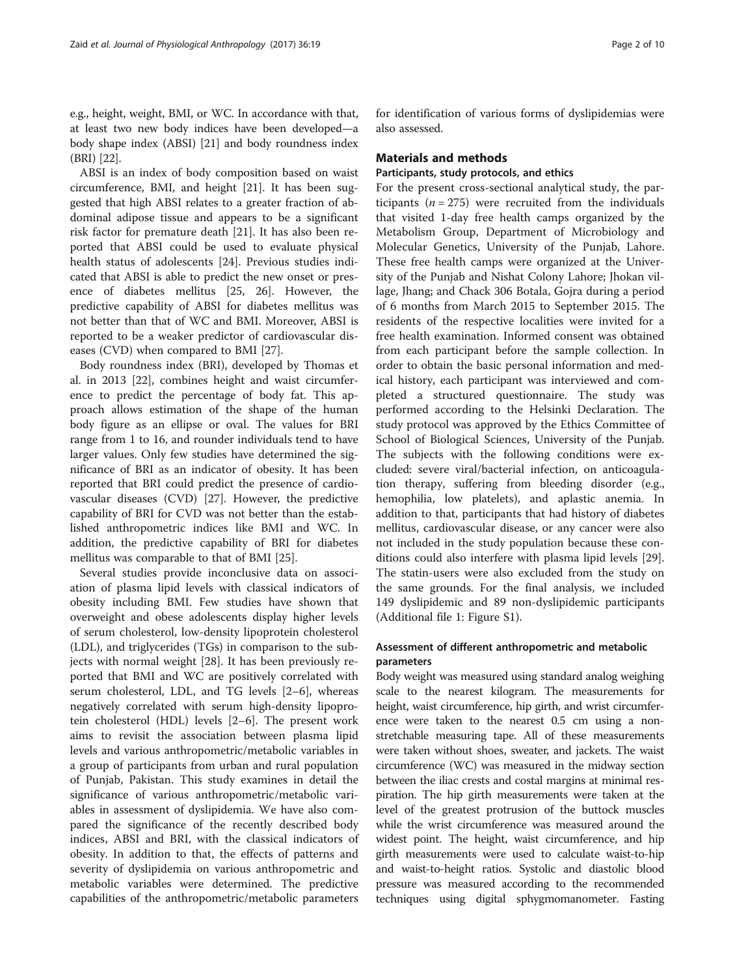e.g., height, weight, BMI, or WC. In accordance with that, at least two new body indices have been developed—a body shape index (ABSI) [\[21](#page-8-0)] and body roundness index (BRI) [\[22](#page-8-0)].

ABSI is an index of body composition based on waist circumference, BMI, and height [[21\]](#page-8-0). It has been suggested that high ABSI relates to a greater fraction of abdominal adipose tissue and appears to be a significant risk factor for premature death [[21\]](#page-8-0). It has also been reported that ABSI could be used to evaluate physical health status of adolescents [\[24](#page-8-0)]. Previous studies indicated that ABSI is able to predict the new onset or presence of diabetes mellitus [[25](#page-8-0), [26](#page-8-0)]. However, the predictive capability of ABSI for diabetes mellitus was not better than that of WC and BMI. Moreover, ABSI is reported to be a weaker predictor of cardiovascular diseases (CVD) when compared to BMI [[27](#page-8-0)].

Body roundness index (BRI), developed by Thomas et al. in 2013 [[22\]](#page-8-0), combines height and waist circumference to predict the percentage of body fat. This approach allows estimation of the shape of the human body figure as an ellipse or oval. The values for BRI range from 1 to 16, and rounder individuals tend to have larger values. Only few studies have determined the significance of BRI as an indicator of obesity. It has been reported that BRI could predict the presence of cardiovascular diseases (CVD) [\[27](#page-8-0)]. However, the predictive capability of BRI for CVD was not better than the established anthropometric indices like BMI and WC. In addition, the predictive capability of BRI for diabetes mellitus was comparable to that of BMI [\[25\]](#page-8-0).

Several studies provide inconclusive data on association of plasma lipid levels with classical indicators of obesity including BMI. Few studies have shown that overweight and obese adolescents display higher levels of serum cholesterol, low-density lipoprotein cholesterol (LDL), and triglycerides (TGs) in comparison to the subjects with normal weight [[28\]](#page-8-0). It has been previously reported that BMI and WC are positively correlated with serum cholesterol, LDL, and TG levels [[2](#page-8-0)–[6\]](#page-8-0), whereas negatively correlated with serum high-density lipoprotein cholesterol (HDL) levels [\[2](#page-8-0)–[6\]](#page-8-0). The present work aims to revisit the association between plasma lipid levels and various anthropometric/metabolic variables in a group of participants from urban and rural population of Punjab, Pakistan. This study examines in detail the significance of various anthropometric/metabolic variables in assessment of dyslipidemia. We have also compared the significance of the recently described body indices, ABSI and BRI, with the classical indicators of obesity. In addition to that, the effects of patterns and severity of dyslipidemia on various anthropometric and metabolic variables were determined. The predictive capabilities of the anthropometric/metabolic parameters

for identification of various forms of dyslipidemias were also assessed.

## Materials and methods

# Participants, study protocols, and ethics

For the present cross-sectional analytical study, the participants ( $n = 275$ ) were recruited from the individuals that visited 1-day free health camps organized by the Metabolism Group, Department of Microbiology and Molecular Genetics, University of the Punjab, Lahore. These free health camps were organized at the University of the Punjab and Nishat Colony Lahore; Jhokan village, Jhang; and Chack 306 Botala, Gojra during a period of 6 months from March 2015 to September 2015. The residents of the respective localities were invited for a free health examination. Informed consent was obtained from each participant before the sample collection. In order to obtain the basic personal information and medical history, each participant was interviewed and completed a structured questionnaire. The study was performed according to the Helsinki Declaration. The study protocol was approved by the Ethics Committee of School of Biological Sciences, University of the Punjab. The subjects with the following conditions were excluded: severe viral/bacterial infection, on anticoagulation therapy, suffering from bleeding disorder (e.g., hemophilia, low platelets), and aplastic anemia. In addition to that, participants that had history of diabetes mellitus, cardiovascular disease, or any cancer were also not included in the study population because these conditions could also interfere with plasma lipid levels [\[29](#page-8-0)]. The statin-users were also excluded from the study on the same grounds. For the final analysis, we included 149 dyslipidemic and 89 non-dyslipidemic participants (Additional file [1](#page-7-0): Figure S1).

# Assessment of different anthropometric and metabolic parameters

Body weight was measured using standard analog weighing scale to the nearest kilogram. The measurements for height, waist circumference, hip girth, and wrist circumference were taken to the nearest 0.5 cm using a nonstretchable measuring tape. All of these measurements were taken without shoes, sweater, and jackets. The waist circumference (WC) was measured in the midway section between the iliac crests and costal margins at minimal respiration. The hip girth measurements were taken at the level of the greatest protrusion of the buttock muscles while the wrist circumference was measured around the widest point. The height, waist circumference, and hip girth measurements were used to calculate waist-to-hip and waist-to-height ratios. Systolic and diastolic blood pressure was measured according to the recommended techniques using digital sphygmomanometer. Fasting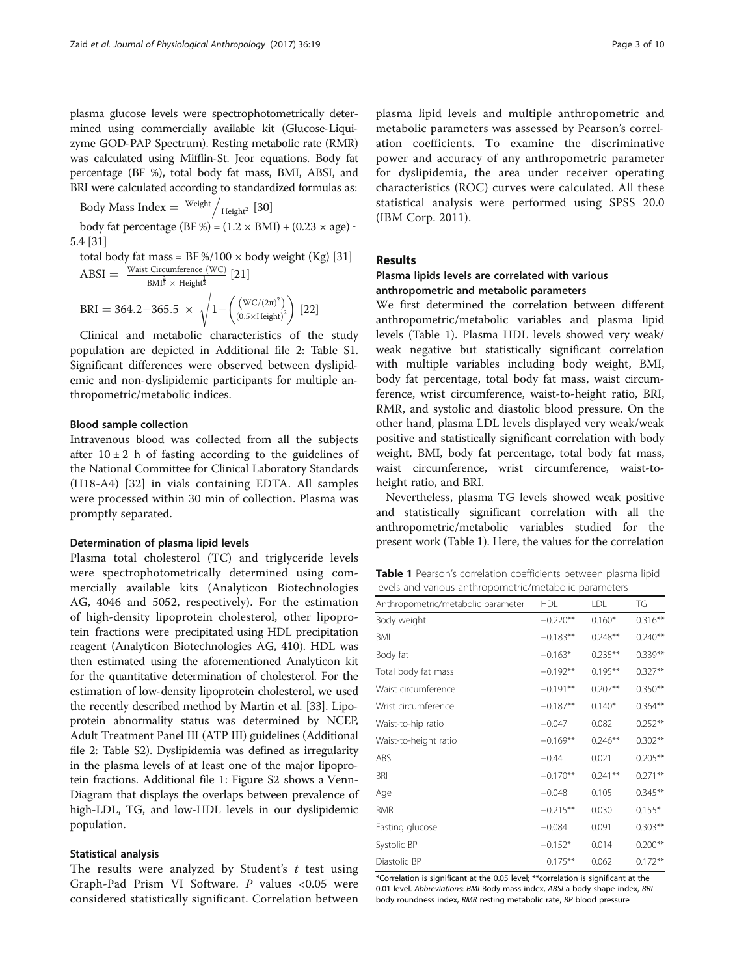plasma glucose levels were spectrophotometrically determined using commercially available kit (Glucose-Liquizyme GOD-PAP Spectrum). Resting metabolic rate (RMR) was calculated using Mifflin-St. Jeor equations. Body fat percentage (BF %), total body fat mass, BMI, ABSI, and BRI were calculated according to standardized formulas as:

Body Mass Index  $=$  Weight  $\bigg/_{\mathsf{Height}^2}$  [\[30](#page-8-0)]

body fat percentage (BF %) =  $(1.2 \times$  BMI) +  $(0.23 \times$  age) -5.4 [\[31\]](#page-8-0)

total body fat mass = BF %/100 × body weight (Kg) [31]  
ABSI = 
$$
\frac{\text{Waist Circumference (WC)}}{\text{BMl}^{\frac{2}{3}} \times \text{Height}^{\frac{1}{2}}}
$$
[21]  
BRI = 364.2-365.5 × 
$$
\sqrt{1 - \left(\frac{\text{(WC/(2\pi)^2)}}{(0.5 \times \text{Height})^2}\right)}
$$
[22]

Clinical and metabolic characteristics of the study population are depicted in Additional file [2:](#page-7-0) Table S1. Significant differences were observed between dyslipidemic and non-dyslipidemic participants for multiple anthropometric/metabolic indices.

## Blood sample collection

Intravenous blood was collected from all the subjects after  $10 \pm 2$  h of fasting according to the guidelines of the National Committee for Clinical Laboratory Standards (H18-A4) [[32\]](#page-8-0) in vials containing EDTA. All samples were processed within 30 min of collection. Plasma was promptly separated.

## Determination of plasma lipid levels

Plasma total cholesterol (TC) and triglyceride levels were spectrophotometrically determined using commercially available kits (Analyticon Biotechnologies AG, 4046 and 5052, respectively). For the estimation of high-density lipoprotein cholesterol, other lipoprotein fractions were precipitated using HDL precipitation reagent (Analyticon Biotechnologies AG, 410). HDL was then estimated using the aforementioned Analyticon kit for the quantitative determination of cholesterol. For the estimation of low-density lipoprotein cholesterol, we used the recently described method by Martin et al. [\[33\]](#page-8-0). Lipoprotein abnormality status was determined by NCEP, Adult Treatment Panel III (ATP III) guidelines (Additional file [2](#page-7-0): Table S2). Dyslipidemia was defined as irregularity in the plasma levels of at least one of the major lipoprotein fractions. Additional file [1](#page-7-0): Figure S2 shows a Venn-Diagram that displays the overlaps between prevalence of high-LDL, TG, and low-HDL levels in our dyslipidemic population.

## Statistical analysis

The results were analyzed by Student's  $t$  test using Graph-Pad Prism VI Software. P values <0.05 were considered statistically significant. Correlation between

plasma lipid levels and multiple anthropometric and metabolic parameters was assessed by Pearson's correlation coefficients. To examine the discriminative power and accuracy of any anthropometric parameter for dyslipidemia, the area under receiver operating characteristics (ROC) curves were calculated. All these statistical analysis were performed using SPSS 20.0 (IBM Corp. 2011).

# Results

# Plasma lipids levels are correlated with various anthropometric and metabolic parameters

We first determined the correlation between different anthropometric/metabolic variables and plasma lipid levels (Table 1). Plasma HDL levels showed very weak/ weak negative but statistically significant correlation with multiple variables including body weight, BMI, body fat percentage, total body fat mass, waist circumference, wrist circumference, waist-to-height ratio, BRI, RMR, and systolic and diastolic blood pressure. On the other hand, plasma LDL levels displayed very weak/weak positive and statistically significant correlation with body weight, BMI, body fat percentage, total body fat mass, waist circumference, wrist circumference, waist-toheight ratio, and BRI.

Nevertheless, plasma TG levels showed weak positive and statistically significant correlation with all the anthropometric/metabolic variables studied for the present work (Table 1). Here, the values for the correlation

Table 1 Pearson's correlation coefficients between plasma lipid levels and various anthropometric/metabolic parameters

| Anthropometric/metabolic parameter | <b>HDL</b>  | LDL        | TG         |
|------------------------------------|-------------|------------|------------|
| Body weight                        | $-0.220**$  | $0.160*$   | $0.316***$ |
| BMI                                | $-0.183**$  | $0.248**$  | $0.240**$  |
| Body fat                           | $-0.163*$   | $0.235***$ | $0.339**$  |
| Total body fat mass                | $-0.192**$  | $0.195***$ | $0.327**$  |
| Waist circumference                | $-0.191**$  | $0.207**$  | $0.350**$  |
| Wrist circumference                | $-0.187**$  | $0.140*$   | $0.364**$  |
| Waist-to-hip ratio                 | $-0.047$    | 0.082      | $0.252**$  |
| Waist-to-height ratio              | $-0.169**$  | $0.246**$  | $0.302**$  |
| ABSI                               | $-0.44$     | 0.021      | $0.205***$ |
| BRI                                | $-0.170**$  | $0.241***$ | $0.271**$  |
| Age                                | $-0.048$    | 0.105      | $0.345**$  |
| RMR                                | $-0.215***$ | 0.030      | $0.155*$   |
| Fasting glucose                    | $-0.084$    | 0.091      | $0.303**$  |
| Systolic BP                        | $-0.152*$   | 0.014      | $0.200**$  |
| Diastolic BP                       | $0.175***$  | 0.062      | $0.172**$  |

\*Correlation is significant at the 0.05 level; \*\*correlation is significant at the 0.01 level. Abbreviations: BMI Body mass index, ABSI a body shape index, BR body roundness index, RMR resting metabolic rate, BP blood pressure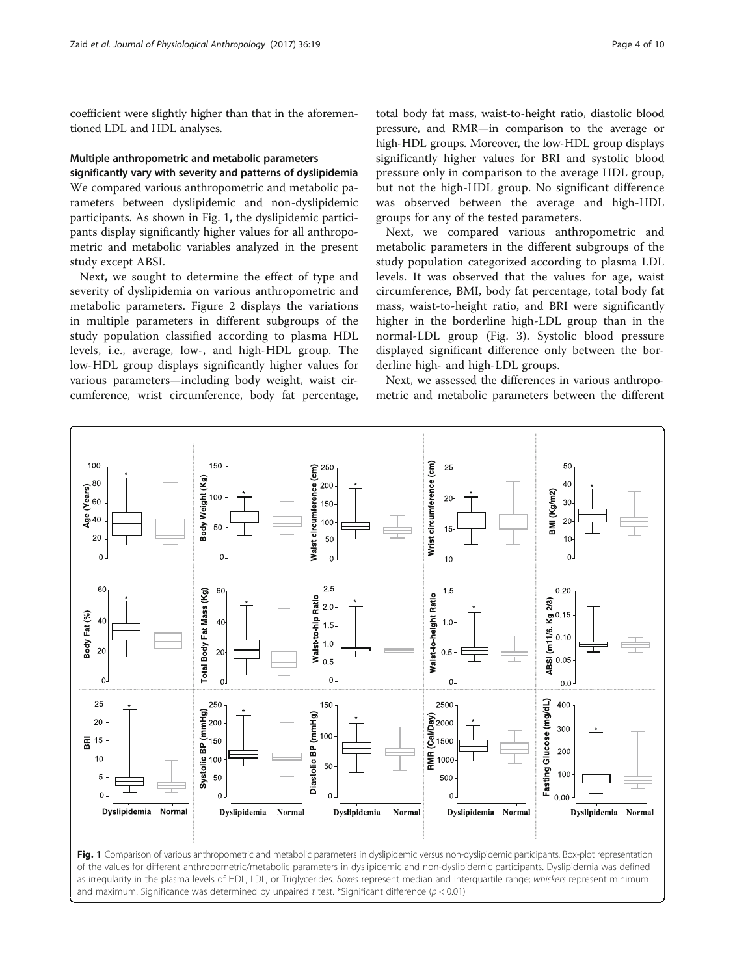coefficient were slightly higher than that in the aforementioned LDL and HDL analyses.

# Multiple anthropometric and metabolic parameters

significantly vary with severity and patterns of dyslipidemia We compared various anthropometric and metabolic parameters between dyslipidemic and non-dyslipidemic participants. As shown in Fig. 1, the dyslipidemic participants display significantly higher values for all anthropometric and metabolic variables analyzed in the present study except ABSI.

Next, we sought to determine the effect of type and severity of dyslipidemia on various anthropometric and metabolic parameters. Figure [2](#page-4-0) displays the variations in multiple parameters in different subgroups of the study population classified according to plasma HDL levels, i.e., average, low-, and high-HDL group. The low-HDL group displays significantly higher values for various parameters—including body weight, waist circumference, wrist circumference, body fat percentage,

total body fat mass, waist-to-height ratio, diastolic blood pressure, and RMR—in comparison to the average or high-HDL groups. Moreover, the low-HDL group displays significantly higher values for BRI and systolic blood pressure only in comparison to the average HDL group, but not the high-HDL group. No significant difference was observed between the average and high-HDL groups for any of the tested parameters.

Next, we compared various anthropometric and metabolic parameters in the different subgroups of the study population categorized according to plasma LDL levels. It was observed that the values for age, waist circumference, BMI, body fat percentage, total body fat mass, waist-to-height ratio, and BRI were significantly higher in the borderline high-LDL group than in the normal-LDL group (Fig. [3\)](#page-5-0). Systolic blood pressure displayed significant difference only between the borderline high- and high-LDL groups.

Next, we assessed the differences in various anthropometric and metabolic parameters between the different

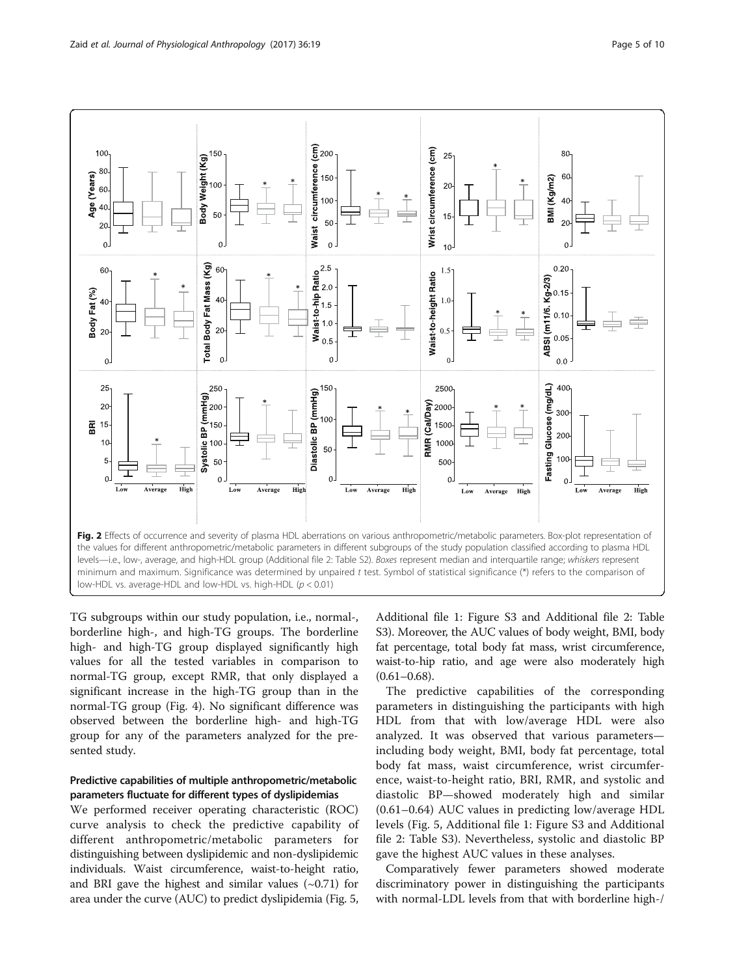<span id="page-4-0"></span>

TG subgroups within our study population, i.e., normal-, borderline high-, and high-TG groups. The borderline high- and high-TG group displayed significantly high values for all the tested variables in comparison to normal-TG group, except RMR, that only displayed a significant increase in the high-TG group than in the normal-TG group (Fig. [4\)](#page-6-0). No significant difference was observed between the borderline high- and high-TG group for any of the parameters analyzed for the presented study.

# Predictive capabilities of multiple anthropometric/metabolic parameters fluctuate for different types of dyslipidemias

We performed receiver operating characteristic (ROC) curve analysis to check the predictive capability of different anthropometric/metabolic parameters for distinguishing between dyslipidemic and non-dyslipidemic individuals. Waist circumference, waist-to-height ratio, and BRI gave the highest and similar values  $(\sim 0.71)$  for area under the curve (AUC) to predict dyslipidemia (Fig. [5](#page-7-0),

Additional file [1:](#page-7-0) Figure S3 and Additional file [2](#page-7-0): Table S3). Moreover, the AUC values of body weight, BMI, body fat percentage, total body fat mass, wrist circumference, waist-to-hip ratio, and age were also moderately high  $(0.61 - 0.68)$ .

The predictive capabilities of the corresponding parameters in distinguishing the participants with high HDL from that with low/average HDL were also analyzed. It was observed that various parameters including body weight, BMI, body fat percentage, total body fat mass, waist circumference, wrist circumference, waist-to-height ratio, BRI, RMR, and systolic and diastolic BP—showed moderately high and similar (0.61–0.64) AUC values in predicting low/average HDL levels (Fig. [5](#page-7-0), Additional file [1](#page-7-0): Figure S3 and Additional file [2:](#page-7-0) Table S3). Nevertheless, systolic and diastolic BP gave the highest AUC values in these analyses.

Comparatively fewer parameters showed moderate discriminatory power in distinguishing the participants with normal-LDL levels from that with borderline high-/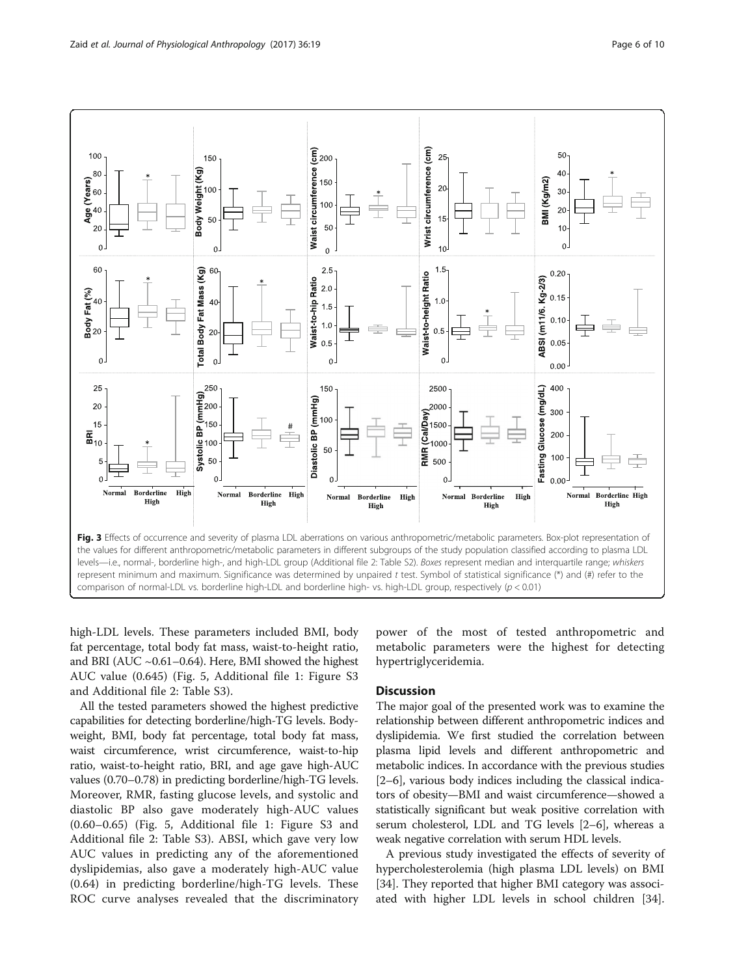<span id="page-5-0"></span>

high-LDL levels. These parameters included BMI, body fat percentage, total body fat mass, waist-to-height ratio, and BRI (AUC ~0.61–0.64). Here, BMI showed the highest AUC value (0.645) (Fig. [5](#page-7-0), Additional file [1:](#page-7-0) Figure S3 and Additional file [2:](#page-7-0) Table S3).

All the tested parameters showed the highest predictive capabilities for detecting borderline/high-TG levels. Bodyweight, BMI, body fat percentage, total body fat mass, waist circumference, wrist circumference, waist-to-hip ratio, waist-to-height ratio, BRI, and age gave high-AUC values (0.70–0.78) in predicting borderline/high-TG levels. Moreover, RMR, fasting glucose levels, and systolic and diastolic BP also gave moderately high-AUC values (0.60–0.65) (Fig. [5](#page-7-0), Additional file [1:](#page-7-0) Figure S3 and Additional file [2:](#page-7-0) Table S3). ABSI, which gave very low AUC values in predicting any of the aforementioned dyslipidemias, also gave a moderately high-AUC value (0.64) in predicting borderline/high-TG levels. These ROC curve analyses revealed that the discriminatory

power of the most of tested anthropometric and metabolic parameters were the highest for detecting hypertriglyceridemia.

# **Discussion**

The major goal of the presented work was to examine the relationship between different anthropometric indices and dyslipidemia. We first studied the correlation between plasma lipid levels and different anthropometric and metabolic indices. In accordance with the previous studies [[2](#page-8-0)–[6](#page-8-0)], various body indices including the classical indicators of obesity—BMI and waist circumference—showed a statistically significant but weak positive correlation with serum cholesterol, LDL and TG levels [[2](#page-8-0)–[6](#page-8-0)], whereas a weak negative correlation with serum HDL levels.

A previous study investigated the effects of severity of hypercholesterolemia (high plasma LDL levels) on BMI [[34\]](#page-9-0). They reported that higher BMI category was associated with higher LDL levels in school children [\[34](#page-9-0)].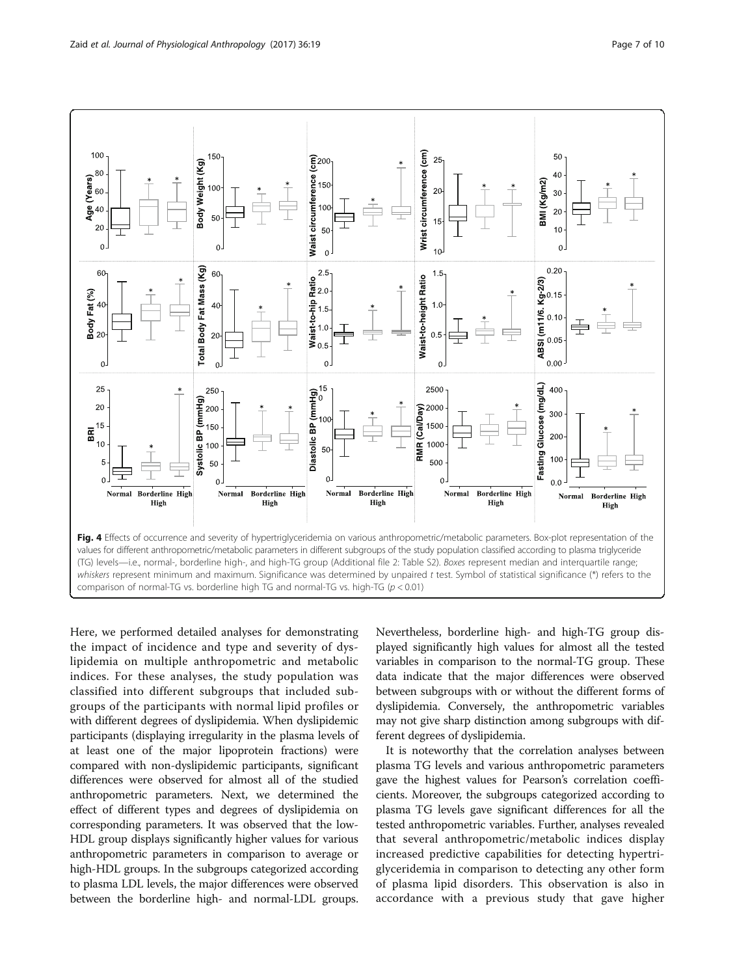<span id="page-6-0"></span>

Here, we performed detailed analyses for demonstrating the impact of incidence and type and severity of dyslipidemia on multiple anthropometric and metabolic indices. For these analyses, the study population was classified into different subgroups that included subgroups of the participants with normal lipid profiles or with different degrees of dyslipidemia. When dyslipidemic participants (displaying irregularity in the plasma levels of at least one of the major lipoprotein fractions) were compared with non-dyslipidemic participants, significant differences were observed for almost all of the studied anthropometric parameters. Next, we determined the effect of different types and degrees of dyslipidemia on corresponding parameters. It was observed that the low-HDL group displays significantly higher values for various anthropometric parameters in comparison to average or high-HDL groups. In the subgroups categorized according to plasma LDL levels, the major differences were observed between the borderline high- and normal-LDL groups.

Nevertheless, borderline high- and high-TG group displayed significantly high values for almost all the tested variables in comparison to the normal-TG group. These data indicate that the major differences were observed between subgroups with or without the different forms of dyslipidemia. Conversely, the anthropometric variables may not give sharp distinction among subgroups with different degrees of dyslipidemia.

It is noteworthy that the correlation analyses between plasma TG levels and various anthropometric parameters gave the highest values for Pearson's correlation coefficients. Moreover, the subgroups categorized according to plasma TG levels gave significant differences for all the tested anthropometric variables. Further, analyses revealed that several anthropometric/metabolic indices display increased predictive capabilities for detecting hypertriglyceridemia in comparison to detecting any other form of plasma lipid disorders. This observation is also in accordance with a previous study that gave higher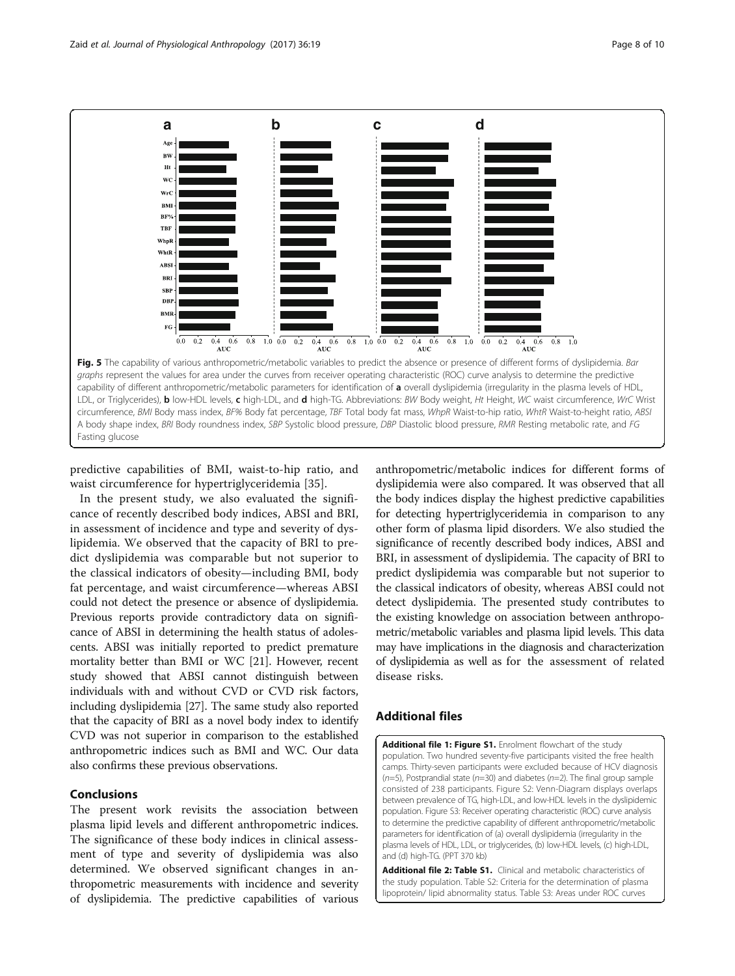<span id="page-7-0"></span>

predictive capabilities of BMI, waist-to-hip ratio, and waist circumference for hypertriglyceridemia [[35\]](#page-9-0).

In the present study, we also evaluated the significance of recently described body indices, ABSI and BRI, in assessment of incidence and type and severity of dyslipidemia. We observed that the capacity of BRI to predict dyslipidemia was comparable but not superior to the classical indicators of obesity—including BMI, body fat percentage, and waist circumference—whereas ABSI could not detect the presence or absence of dyslipidemia. Previous reports provide contradictory data on significance of ABSI in determining the health status of adolescents. ABSI was initially reported to predict premature mortality better than BMI or WC [\[21\]](#page-8-0). However, recent study showed that ABSI cannot distinguish between individuals with and without CVD or CVD risk factors, including dyslipidemia [\[27\]](#page-8-0). The same study also reported that the capacity of BRI as a novel body index to identify CVD was not superior in comparison to the established anthropometric indices such as BMI and WC. Our data also confirms these previous observations.

# Conclusions

The present work revisits the association between plasma lipid levels and different anthropometric indices. The significance of these body indices in clinical assessment of type and severity of dyslipidemia was also determined. We observed significant changes in anthropometric measurements with incidence and severity of dyslipidemia. The predictive capabilities of various anthropometric/metabolic indices for different forms of dyslipidemia were also compared. It was observed that all the body indices display the highest predictive capabilities for detecting hypertriglyceridemia in comparison to any other form of plasma lipid disorders. We also studied the significance of recently described body indices, ABSI and BRI, in assessment of dyslipidemia. The capacity of BRI to predict dyslipidemia was comparable but not superior to the classical indicators of obesity, whereas ABSI could not detect dyslipidemia. The presented study contributes to the existing knowledge on association between anthropometric/metabolic variables and plasma lipid levels. This data may have implications in the diagnosis and characterization of dyslipidemia as well as for the assessment of related disease risks.

# Additional files

[Additional file 1: Figure S1.](dx.doi.org/10.1186/s40101-017-0134-x) Enrolment flowchart of the study population. Two hundred seventy-five participants visited the free health camps. Thirty-seven participants were excluded because of HCV diagnosis  $(n=5)$ , Postprandial state ( $n=30$ ) and diabetes ( $n=2$ ). The final group sample consisted of 238 participants. Figure S2: Venn-Diagram displays overlaps between prevalence of TG, high-LDL, and low-HDL levels in the dyslipidemic population. Figure S3: Receiver operating characteristic (ROC) curve analysis to determine the predictive capability of different anthropometric/metabolic parameters for identification of (a) overall dyslipidemia (irregularity in the plasma levels of HDL, LDL, or triglycerides, (b) low-HDL levels, (c) high-LDL, and (d) high-TG. (PPT 370 kb)

[Additional file 2: Table S1.](dx.doi.org/10.1186/s40101-017-0134-x) Clinical and metabolic characteristics of the study population. Table S2: Criteria for the determination of plasma lipoprotein/ lipid abnormality status. Table S3: Areas under ROC curves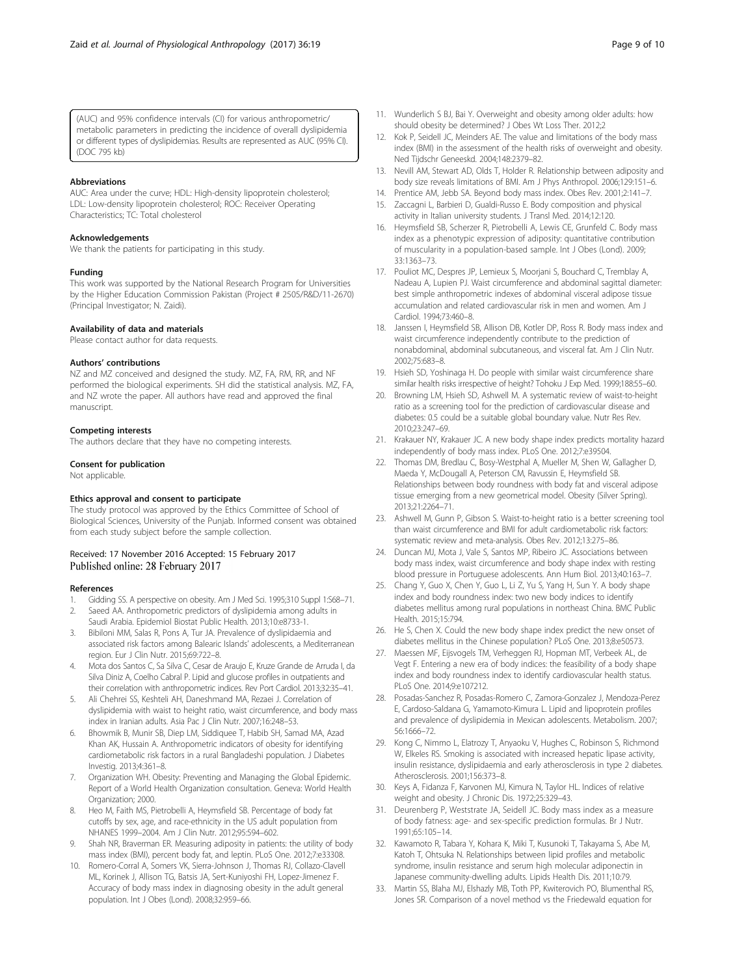<span id="page-8-0"></span>(AUC) and 95% confidence intervals (CI) for various anthropometric/ metabolic parameters in predicting the incidence of overall dyslipidemia or different types of dyslipidemias. Results are represented as AUC (95% CI). (DOC 795 kb)

## Abbreviations

AUC: Area under the curve; HDL: High-density lipoprotein cholesterol; LDL: Low-density lipoprotein cholesterol; ROC: Receiver Operating Characteristics; TC: Total cholesterol

### Acknowledgements

We thank the patients for participating in this study.

## Funding

This work was supported by the National Research Program for Universities by the Higher Education Commission Pakistan (Project # 2505/R&D/11-2670) (Principal Investigator; N. Zaidi).

## Availability of data and materials

Please contact author for data requests.

#### Authors' contributions

NZ and MZ conceived and designed the study. MZ, FA, RM, RR, and NF performed the biological experiments. SH did the statistical analysis. MZ, FA, and NZ wrote the paper. All authors have read and approved the final manuscript.

#### Competing interests

The authors declare that they have no competing interests.

### Consent for publication

Not applicable.

## Ethics approval and consent to participate

The study protocol was approved by the Ethics Committee of School of Biological Sciences, University of the Punjab. Informed consent was obtained from each study subject before the sample collection.

## Received: 17 November 2016 Accepted: 15 February 2017 Published online: 28 February 2017

### References

- 1. Gidding SS. A perspective on obesity. Am J Med Sci. 1995;310 Suppl 1:S68–71.
- 2. Saeed AA. Anthropometric predictors of dyslipidemia among adults in Saudi Arabia. Epidemiol Biostat Public Health. 2013;10:e8733-1.
- 3. Bibiloni MM, Salas R, Pons A, Tur JA. Prevalence of dyslipidaemia and associated risk factors among Balearic Islands' adolescents, a Mediterranean region. Eur J Clin Nutr. 2015;69:722–8.
- 4. Mota dos Santos C, Sa Silva C, Cesar de Araujo E, Kruze Grande de Arruda I, da Silva Diniz A, Coelho Cabral P. Lipid and glucose profiles in outpatients and their correlation with anthropometric indices. Rev Port Cardiol. 2013;32:35–41.
- 5. Ali Chehrei SS, Keshteli AH, Daneshmand MA, Rezaei J. Correlation of dyslipidemia with waist to height ratio, waist circumference, and body mass index in Iranian adults. Asia Pac J Clin Nutr. 2007;16:248–53.
- 6. Bhowmik B, Munir SB, Diep LM, Siddiquee T, Habib SH, Samad MA, Azad Khan AK, Hussain A. Anthropometric indicators of obesity for identifying cardiometabolic risk factors in a rural Bangladeshi population. J Diabetes Investig. 2013;4:361–8.
- 7. Organization WH. Obesity: Preventing and Managing the Global Epidemic. Report of a World Health Organization consultation. Geneva: World Health Organization; 2000.
- 8. Heo M, Faith MS, Pietrobelli A, Heymsfield SB. Percentage of body fat cutoffs by sex, age, and race-ethnicity in the US adult population from NHANES 1999–2004. Am J Clin Nutr. 2012;95:594–602.
- 9. Shah NR, Braverman ER. Measuring adiposity in patients: the utility of body mass index (BMI), percent body fat, and leptin. PLoS One. 2012;7:e33308.
- 10. Romero-Corral A, Somers VK, Sierra-Johnson J, Thomas RJ, Collazo-Clavell ML, Korinek J, Allison TG, Batsis JA, Sert-Kuniyoshi FH, Lopez-Jimenez F. Accuracy of body mass index in diagnosing obesity in the adult general population. Int J Obes (Lond). 2008;32:959–66.
- 11. Wunderlich S BJ, Bai Y. Overweight and obesity among older adults: how should obesity be determined? J Obes Wt Loss Ther. 2012;2
- 12. Kok P, Seidell JC, Meinders AE. The value and limitations of the body mass index (BMI) in the assessment of the health risks of overweight and obesity. Ned Tijdschr Geneeskd. 2004;148:2379–82.
- 13. Nevill AM, Stewart AD, Olds T, Holder R. Relationship between adiposity and body size reveals limitations of BMI. Am J Phys Anthropol. 2006;129:151–6.
- 14. Prentice AM, Jebb SA. Beyond body mass index. Obes Rev. 2001;2:141–7.
- 15. Zaccagni L, Barbieri D, Gualdi-Russo E. Body composition and physical activity in Italian university students. J Transl Med. 2014;12:120.
- 16. Heymsfield SB, Scherzer R, Pietrobelli A, Lewis CE, Grunfeld C. Body mass index as a phenotypic expression of adiposity: quantitative contribution of muscularity in a population-based sample. Int J Obes (Lond). 2009; 33:1363–73.
- 17. Pouliot MC, Despres JP, Lemieux S, Moorjani S, Bouchard C, Tremblay A, Nadeau A, Lupien PJ. Waist circumference and abdominal sagittal diameter: best simple anthropometric indexes of abdominal visceral adipose tissue accumulation and related cardiovascular risk in men and women. Am J Cardiol. 1994;73:460–8.
- 18. Janssen I, Heymsfield SB, Allison DB, Kotler DP, Ross R. Body mass index and waist circumference independently contribute to the prediction of nonabdominal, abdominal subcutaneous, and visceral fat. Am J Clin Nutr. 2002;75:683–8.
- 19. Hsieh SD, Yoshinaga H. Do people with similar waist circumference share similar health risks irrespective of height? Tohoku J Exp Med. 1999;188:55–60.
- 20. Browning LM, Hsieh SD, Ashwell M. A systematic review of waist-to-height ratio as a screening tool for the prediction of cardiovascular disease and diabetes: 0.5 could be a suitable global boundary value. Nutr Res Rev. 2010;23:247–69.
- 21. Krakauer NY, Krakauer JC. A new body shape index predicts mortality hazard independently of body mass index. PLoS One. 2012;7:e39504.
- 22. Thomas DM, Bredlau C, Bosy-Westphal A, Mueller M, Shen W, Gallagher D, Maeda Y, McDougall A, Peterson CM, Ravussin E, Heymsfield SB. Relationships between body roundness with body fat and visceral adipose tissue emerging from a new geometrical model. Obesity (Silver Spring). 2013;21:2264–71.
- 23. Ashwell M, Gunn P, Gibson S. Waist-to-height ratio is a better screening tool than waist circumference and BMI for adult cardiometabolic risk factors: systematic review and meta-analysis. Obes Rev. 2012;13:275–86.
- 24. Duncan MJ, Mota J, Vale S, Santos MP, Ribeiro JC. Associations between body mass index, waist circumference and body shape index with resting blood pressure in Portuguese adolescents. Ann Hum Biol. 2013;40:163–7.
- 25. Chang Y, Guo X, Chen Y, Guo L, Li Z, Yu S, Yang H, Sun Y. A body shape index and body roundness index: two new body indices to identify diabetes mellitus among rural populations in northeast China. BMC Public Health. 2015;15:794.
- 26. He S, Chen X. Could the new body shape index predict the new onset of diabetes mellitus in the Chinese population? PLoS One. 2013;8:e50573.
- 27. Maessen MF, Eijsvogels TM, Verheggen RJ, Hopman MT, Verbeek AL, de Vegt F. Entering a new era of body indices: the feasibility of a body shape index and body roundness index to identify cardiovascular health status. PLoS One. 2014;9:e107212.
- 28. Posadas-Sanchez R, Posadas-Romero C, Zamora-Gonzalez J, Mendoza-Perez E, Cardoso-Saldana G, Yamamoto-Kimura L. Lipid and lipoprotein profiles and prevalence of dyslipidemia in Mexican adolescents. Metabolism. 2007; 56:1666–72.
- 29. Kong C, Nimmo L, Elatrozy T, Anyaoku V, Hughes C, Robinson S, Richmond W, Elkeles RS. Smoking is associated with increased hepatic lipase activity, insulin resistance, dyslipidaemia and early atherosclerosis in type 2 diabetes. Atherosclerosis. 2001;156:373–8.
- Keys A, Fidanza F, Karvonen MJ, Kimura N, Taylor HL. Indices of relative weight and obesity. J Chronic Dis. 1972;25:329–43.
- 31. Deurenberg P, Weststrate JA, Seidell JC. Body mass index as a measure of body fatness: age- and sex-specific prediction formulas. Br J Nutr. 1991;65:105–14.
- 32. Kawamoto R, Tabara Y, Kohara K, Miki T, Kusunoki T, Takayama S, Abe M, Katoh T, Ohtsuka N. Relationships between lipid profiles and metabolic syndrome, insulin resistance and serum high molecular adiponectin in Japanese community-dwelling adults. Lipids Health Dis. 2011;10:79.
- 33. Martin SS, Blaha MJ, Elshazly MB, Toth PP, Kwiterovich PO, Blumenthal RS, Jones SR. Comparison of a novel method vs the Friedewald equation for